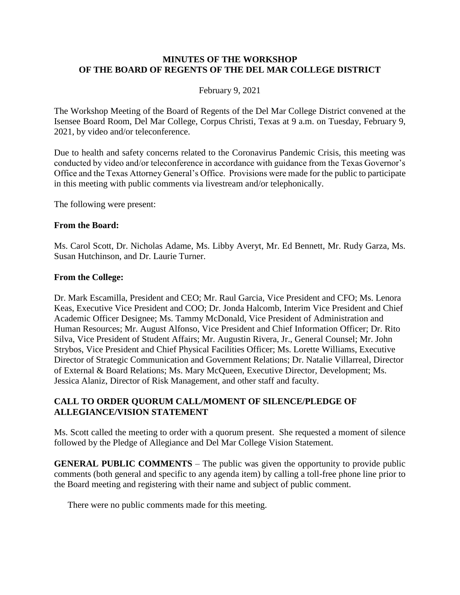### **MINUTES OF THE WORKSHOP OF THE BOARD OF REGENTS OF THE DEL MAR COLLEGE DISTRICT**

#### February 9, 2021

The Workshop Meeting of the Board of Regents of the Del Mar College District convened at the Isensee Board Room, Del Mar College, Corpus Christi, Texas at 9 a.m. on Tuesday, February 9, 2021, by video and/or teleconference.

Due to health and safety concerns related to the Coronavirus Pandemic Crisis, this meeting was conducted by video and/or teleconference in accordance with guidance from the Texas Governor's Office and the Texas Attorney General's Office. Provisions were made for the public to participate in this meeting with public comments via livestream and/or telephonically.

The following were present:

#### **From the Board:**

Ms. Carol Scott, Dr. Nicholas Adame, Ms. Libby Averyt, Mr. Ed Bennett, Mr. Rudy Garza, Ms. Susan Hutchinson, and Dr. Laurie Turner.

#### **From the College:**

Dr. Mark Escamilla, President and CEO; Mr. Raul Garcia, Vice President and CFO; Ms. Lenora Keas, Executive Vice President and COO; Dr. Jonda Halcomb, Interim Vice President and Chief Academic Officer Designee; Ms. Tammy McDonald, Vice President of Administration and Human Resources; Mr. August Alfonso, Vice President and Chief Information Officer; Dr. Rito Silva, Vice President of Student Affairs; Mr. Augustin Rivera, Jr., General Counsel; Mr. John Strybos, Vice President and Chief Physical Facilities Officer; Ms. Lorette Williams, Executive Director of Strategic Communication and Government Relations; Dr. Natalie Villarreal, Director of External & Board Relations; Ms. Mary McQueen, Executive Director, Development; Ms. Jessica Alaniz, Director of Risk Management, and other staff and faculty.

### **CALL TO ORDER QUORUM CALL/MOMENT OF SILENCE/PLEDGE OF ALLEGIANCE/VISION STATEMENT**

Ms. Scott called the meeting to order with a quorum present. She requested a moment of silence followed by the Pledge of Allegiance and Del Mar College Vision Statement.

**GENERAL PUBLIC COMMENTS** – The public was given the opportunity to provide public comments (both general and specific to any agenda item) by calling a toll-free phone line prior to the Board meeting and registering with their name and subject of public comment.

There were no public comments made for this meeting.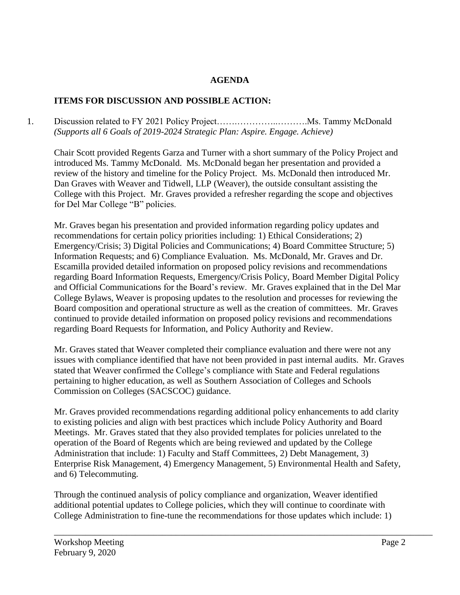# **AGENDA**

# **ITEMS FOR DISCUSSION AND POSSIBLE ACTION:**

1. Discussion related to FY 2021 Policy Project…….…………..……….Ms. Tammy McDonald *(Supports all 6 Goals of 2019-2024 Strategic Plan: Aspire. Engage. Achieve)*

Chair Scott provided Regents Garza and Turner with a short summary of the Policy Project and introduced Ms. Tammy McDonald. Ms. McDonald began her presentation and provided a review of the history and timeline for the Policy Project. Ms. McDonald then introduced Mr. Dan Graves with Weaver and Tidwell, LLP (Weaver), the outside consultant assisting the College with this Project. Mr. Graves provided a refresher regarding the scope and objectives for Del Mar College "B" policies.

Mr. Graves began his presentation and provided information regarding policy updates and recommendations for certain policy priorities including: 1) Ethical Considerations; 2) Emergency/Crisis; 3) Digital Policies and Communications; 4) Board Committee Structure; 5) Information Requests; and 6) Compliance Evaluation. Ms. McDonald, Mr. Graves and Dr. Escamilla provided detailed information on proposed policy revisions and recommendations regarding Board Information Requests, Emergency/Crisis Policy, Board Member Digital Policy and Official Communications for the Board's review. Mr. Graves explained that in the Del Mar College Bylaws, Weaver is proposing updates to the resolution and processes for reviewing the Board composition and operational structure as well as the creation of committees. Mr. Graves continued to provide detailed information on proposed policy revisions and recommendations regarding Board Requests for Information, and Policy Authority and Review.

Mr. Graves stated that Weaver completed their compliance evaluation and there were not any issues with compliance identified that have not been provided in past internal audits. Mr. Graves stated that Weaver confirmed the College's compliance with State and Federal regulations pertaining to higher education, as well as Southern Association of Colleges and Schools Commission on Colleges (SACSCOC) guidance.

Mr. Graves provided recommendations regarding additional policy enhancements to add clarity to existing policies and align with best practices which include Policy Authority and Board Meetings. Mr. Graves stated that they also provided templates for policies unrelated to the operation of the Board of Regents which are being reviewed and updated by the College Administration that include: 1) Faculty and Staff Committees, 2) Debt Management, 3) Enterprise Risk Management, 4) Emergency Management, 5) Environmental Health and Safety, and 6) Telecommuting.

Through the continued analysis of policy compliance and organization, Weaver identified additional potential updates to College policies, which they will continue to coordinate with College Administration to fine-tune the recommendations for those updates which include: 1)

\_\_\_\_\_\_\_\_\_\_\_\_\_\_\_\_\_\_\_\_\_\_\_\_\_\_\_\_\_\_\_\_\_\_\_\_\_\_\_\_\_\_\_\_\_\_\_\_\_\_\_\_\_\_\_\_\_\_\_\_\_\_\_\_\_\_\_\_\_\_\_\_\_\_\_\_\_\_\_\_\_\_\_\_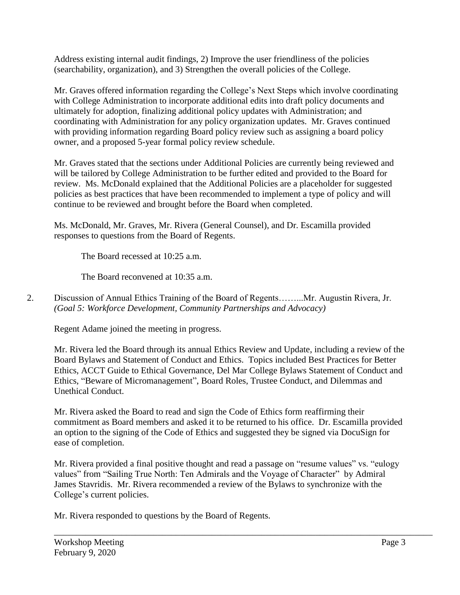Address existing internal audit findings, 2) Improve the user friendliness of the policies (searchability, organization), and 3) Strengthen the overall policies of the College.

Mr. Graves offered information regarding the College's Next Steps which involve coordinating with College Administration to incorporate additional edits into draft policy documents and ultimately for adoption, finalizing additional policy updates with Administration; and coordinating with Administration for any policy organization updates. Mr. Graves continued with providing information regarding Board policy review such as assigning a board policy owner, and a proposed 5-year formal policy review schedule.

Mr. Graves stated that the sections under Additional Policies are currently being reviewed and will be tailored by College Administration to be further edited and provided to the Board for review. Ms. McDonald explained that the Additional Policies are a placeholder for suggested policies as best practices that have been recommended to implement a type of policy and will continue to be reviewed and brought before the Board when completed.

Ms. McDonald, Mr. Graves, Mr. Rivera (General Counsel), and Dr. Escamilla provided responses to questions from the Board of Regents.

The Board recessed at 10:25 a.m.

The Board reconvened at 10:35 a.m.

2. Discussion of Annual Ethics Training of the Board of Regents……...Mr. Augustin Rivera, Jr. *(Goal 5: Workforce Development, Community Partnerships and Advocacy)*

Regent Adame joined the meeting in progress.

Mr. Rivera led the Board through its annual Ethics Review and Update, including a review of the Board Bylaws and Statement of Conduct and Ethics. Topics included Best Practices for Better Ethics, ACCT Guide to Ethical Governance, Del Mar College Bylaws Statement of Conduct and Ethics, "Beware of Micromanagement", Board Roles, Trustee Conduct, and Dilemmas and Unethical Conduct.

Mr. Rivera asked the Board to read and sign the Code of Ethics form reaffirming their commitment as Board members and asked it to be returned to his office. Dr. Escamilla provided an option to the signing of the Code of Ethics and suggested they be signed via DocuSign for ease of completion.

Mr. Rivera provided a final positive thought and read a passage on "resume values" vs. "eulogy values" from "Sailing True North: Ten Admirals and the Voyage of Character" by Admiral James Stavridis. Mr. Rivera recommended a review of the Bylaws to synchronize with the College's current policies.

\_\_\_\_\_\_\_\_\_\_\_\_\_\_\_\_\_\_\_\_\_\_\_\_\_\_\_\_\_\_\_\_\_\_\_\_\_\_\_\_\_\_\_\_\_\_\_\_\_\_\_\_\_\_\_\_\_\_\_\_\_\_\_\_\_\_\_\_\_\_\_\_\_\_\_\_\_\_\_\_\_\_\_\_

Mr. Rivera responded to questions by the Board of Regents.